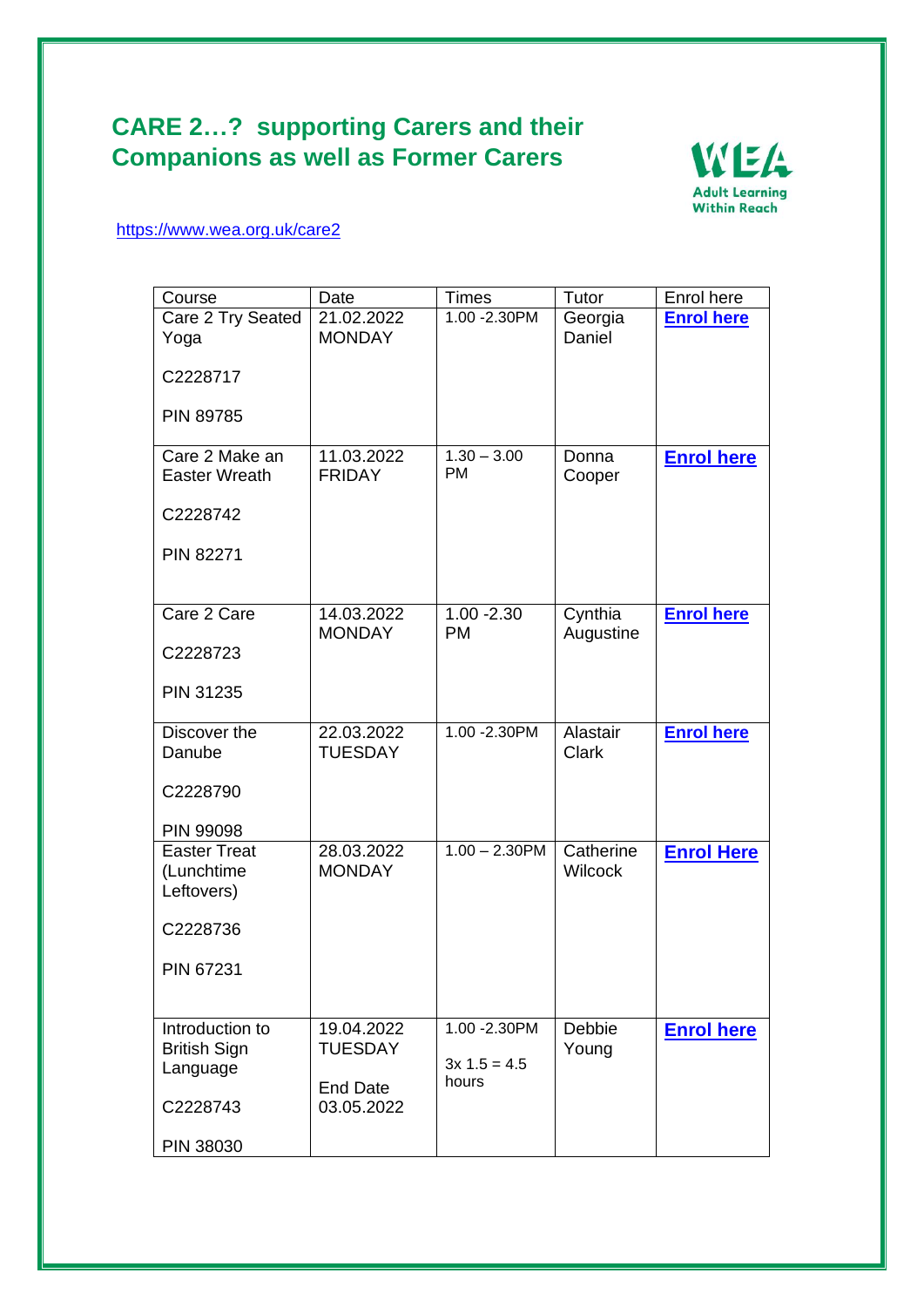## **CARE 2…? supporting Carers and their Companions as well as Former Carers**



## [https://www.wea.org.uk/care2](https://gbr01.safelinks.protection.outlook.com/?url=https%3A%2F%2Fwww.wea.org.uk%2Fcare2&data=04%7C01%7Csridealgh%40wea.org.uk%7Cfb0b83c843314a2926c908d9f6e0f2dd%7C0e92a5fca5e54c5f996ce80ad506f7f7%7C0%7C0%7C637812268270091167%7CUnknown%7CTWFpbGZsb3d8eyJWIjoiMC4wLjAwMDAiLCJQIjoiV2luMzIiLCJBTiI6Ik1haWwiLCJXVCI6Mn0%3D%7C3000&sdata=jSHnPlCgv395xgjK5YnMl2ZtHVq0Hx4qwJg4a%2FlSqoc%3D&reserved=0)

| Course               | Date                          | Times                   | Tutor          | Enrol here        |
|----------------------|-------------------------------|-------------------------|----------------|-------------------|
| Care 2 Try Seated    | 21.02.2022                    | 1.00 - 2.30 PM          | Georgia        | <b>Enrol here</b> |
| Yoga                 | <b>MONDAY</b>                 |                         | Daniel         |                   |
| C2228717             |                               |                         |                |                   |
|                      |                               |                         |                |                   |
| <b>PIN 89785</b>     |                               |                         |                |                   |
| Care 2 Make an       | 11.03.2022                    | $1.30 - 3.00$           | Donna          | <b>Enrol here</b> |
| <b>Easter Wreath</b> | <b>FRIDAY</b>                 | <b>PM</b>               | Cooper         |                   |
| C2228742             |                               |                         |                |                   |
| <b>PIN 82271</b>     |                               |                         |                |                   |
|                      |                               |                         |                |                   |
| Care 2 Care          | 14.03.2022                    | $1.00 - 2.30$           | Cynthia        | <b>Enrol here</b> |
| C2228723             | <b>MONDAY</b>                 | <b>PM</b>               | Augustine      |                   |
|                      |                               |                         |                |                   |
| <b>PIN 31235</b>     |                               |                         |                |                   |
| Discover the         | 22.03.2022                    | 1.00 - 2.30 PM          | Alastair       | <b>Enrol here</b> |
| Danube               | <b>TUESDAY</b>                |                         | <b>Clark</b>   |                   |
| C2228790             |                               |                         |                |                   |
| <b>PIN 99098</b>     |                               |                         |                |                   |
| <b>Easter Treat</b>  | 28.03.2022                    | $1.00 - 2.30$ PM        | Catherine      | <b>Enrol Here</b> |
| (Lunchtime           | <b>MONDAY</b>                 |                         | <b>Wilcock</b> |                   |
| Leftovers)           |                               |                         |                |                   |
| C2228736             |                               |                         |                |                   |
| <b>PIN 67231</b>     |                               |                         |                |                   |
|                      |                               |                         |                |                   |
| Introduction to      | 19.04.2022                    | 1.00 - 2.30 PM          | Debbie         | <b>Enrol here</b> |
| <b>British Sign</b>  | <b>TUESDAY</b>                |                         | Young          |                   |
| Language             |                               | $3x 1.5 = 4.5$<br>hours |                |                   |
| C2228743             | <b>End Date</b><br>03.05.2022 |                         |                |                   |
|                      |                               |                         |                |                   |
| <b>PIN 38030</b>     |                               |                         |                |                   |